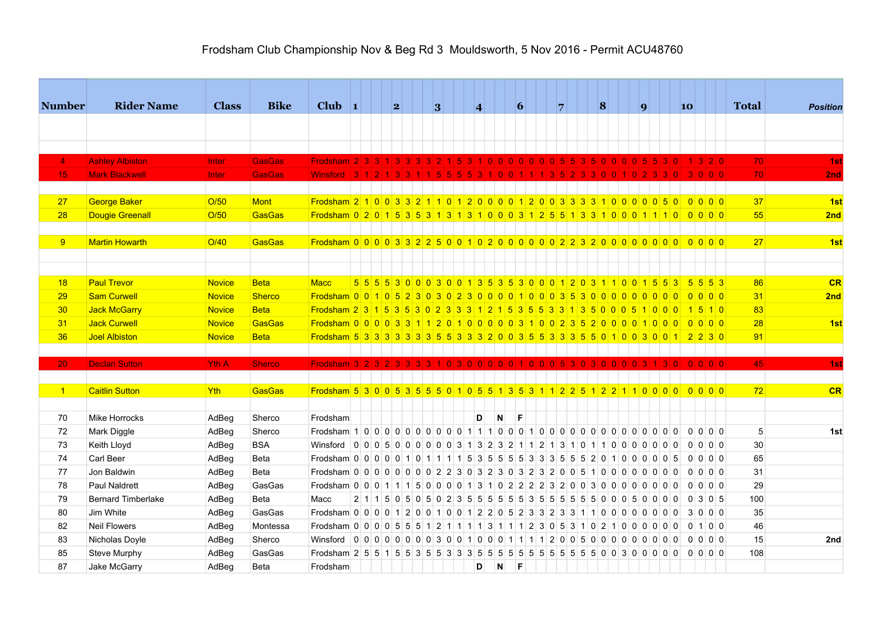## Frodsham Club Championship Nov & Beg Rd 3 Mouldsworth, 5 Nov 2016 - Permit ACU48760

| <b>Number</b>  | <b>Rider Name</b>         | <b>Class</b>   | <b>Bike</b>   | Club $\vert$ 1                                                                     |  | 2 |  | 3 |  | $\overline{\mathbf{4}}$ |                                                                             |     | 6   |  | $\overline{7}$ |     | 8 |  | $\boldsymbol{q}$ |           | 10 |          |                          |                | <b>Total</b> | <b>Position</b> |
|----------------|---------------------------|----------------|---------------|------------------------------------------------------------------------------------|--|---|--|---|--|-------------------------|-----------------------------------------------------------------------------|-----|-----|--|----------------|-----|---|--|------------------|-----------|----|----------|--------------------------|----------------|--------------|-----------------|
|                |                           |                |               |                                                                                    |  |   |  |   |  |                         |                                                                             |     |     |  |                |     |   |  |                  |           |    |          |                          |                |              |                 |
|                |                           |                |               |                                                                                    |  |   |  |   |  |                         |                                                                             |     |     |  |                |     |   |  |                  |           |    |          |                          |                |              |                 |
| $\overline{4}$ | <b>Ashley Albiston</b>    | <b>Inter</b>   | <b>GasGas</b> | Frodsham $2 3 3 4$                                                                 |  |   |  |   |  |                         | i oi oi oi oi oi oi si si                                                   |     |     |  |                | 350 |   |  |                  |           |    |          | 3 2 0                    |                | 70           | 1st             |
| 15             | <b>Mark Blackwell</b>     | <b>Inter</b>   | <b>GasGas</b> | <b>Winsford</b>                                                                    |  |   |  |   |  |                         |                                                                             |     |     |  |                |     |   |  |                  |           |    |          |                          | 0 <sub>0</sub> | 70           | 2nd             |
|                |                           |                |               |                                                                                    |  |   |  |   |  |                         |                                                                             |     |     |  |                |     |   |  |                  |           |    |          |                          |                |              |                 |
| 27             | George Baker              | O/50           | Mont          | Frodsham 2 1 0 0 3 3 2 1 1 0 1 2 0 0 0 0 1 2 0 0 3 3 3 3 1 0 0 0 0 0 5 0           |  |   |  |   |  |                         |                                                                             |     |     |  |                |     |   |  |                  |           |    |          | 0000                     |                | 37           | 1st             |
| 28             | <b>Dougie Greenall</b>    | O/50           | GasGas        | Frodsham 0 2 0 1 5 3 5 3 1 3 1 3 1 0 0 0 3 1 2 5 5 1 3 3 1 0 0 0 1 1 1 0 0 0 0 0   |  |   |  |   |  |                         |                                                                             |     |     |  |                |     |   |  |                  |           |    |          |                          |                | 55           | 2nd             |
|                |                           |                |               |                                                                                    |  |   |  |   |  |                         |                                                                             |     |     |  |                |     |   |  |                  |           |    |          |                          |                |              |                 |
| 9              | <b>Martin Howarth</b>     | O/40           | GasGas        |                                                                                    |  |   |  |   |  |                         |                                                                             |     |     |  |                |     |   |  |                  |           |    |          |                          |                | 27           | 1st             |
|                |                           |                |               |                                                                                    |  |   |  |   |  |                         |                                                                             |     |     |  |                |     |   |  |                  |           |    |          |                          |                |              |                 |
|                |                           |                |               |                                                                                    |  |   |  |   |  |                         |                                                                             |     |     |  |                |     |   |  |                  |           |    |          |                          |                |              |                 |
| 18             | <b>Paul Trevor</b>        | <b>Novice</b>  | <b>Beta</b>   | <b>Macc</b>                                                                        |  |   |  |   |  |                         | 5 5 5 5 6 7 8 0 0 0 3 0 0 1 3 5 3 5 3 0 0 0 1 2 0 3 1 1 0 0 1 5 5 3 5 5 6 3 |     |     |  |                |     |   |  |                  |           |    |          |                          |                | 86           | CR              |
| 29             | <b>Sam Curwell</b>        | <b>Novice</b>  | <b>Sherco</b> |                                                                                    |  |   |  |   |  |                         |                                                                             |     |     |  |                |     |   |  |                  |           |    |          | $0$ 0 0 0                |                | 31           | 2nd             |
| 30             | Jack McGarry              | Novice         | Beta          | <u>Frodsham 2 3 1 5 3 5 3 0 2 3 3 3 1 2 1 5 3 5 5 3 3 1 3 5 0 0 0 5</u>            |  |   |  |   |  |                         |                                                                             |     |     |  |                |     |   |  |                  | $0$ 0 $0$ |    |          | $1 \, 5 \, 1 \, 0$       |                | 83           |                 |
| 31             | Jack Curwell              | Novice         | GasGas        |                                                                                    |  |   |  |   |  |                         |                                                                             |     |     |  |                |     |   |  |                  |           |    |          | $0$ 0 0 0                |                | 28           | 1st             |
| 36             | Joel Albiston             | <b>Novice</b>  | <b>Beta</b>   | Frodsham 5 3 3 3 3 3 3 3 5 5 3 3 3 2 0 0 3 5 5 3 3 3 5 5 0 1 0 0 3 0 0 1 2 2 3 0   |  |   |  |   |  |                         |                                                                             |     |     |  |                |     |   |  |                  |           |    |          |                          |                | 91           |                 |
|                |                           |                |               |                                                                                    |  |   |  |   |  |                         |                                                                             |     |     |  |                |     |   |  |                  |           |    |          |                          |                |              |                 |
| 20             | <b>Declan Sutton</b>      | <b>Yth A</b>   | Sherco        | Frodsham $3 2 3 2 3 $                                                              |  |   |  |   |  |                         | 3 3 3 4 0 3 0 0 0 0 0 1 0 0 0 5 3 0 3 0 0 0 0 3 1                           |     |     |  |                |     |   |  |                  | 3 0       |    |          | 0 0 0 0                  |                | 45           | 1st             |
|                |                           |                |               |                                                                                    |  |   |  |   |  |                         |                                                                             |     |     |  |                |     |   |  |                  |           |    |          |                          |                |              |                 |
| $\sqrt{1}$     | <b>Caitlin Sutton</b>     | Yth            | GasGas        | Frodsham 5 3 0 0 5 3 5 5 6 6 1 0 5 5 1 3 5 3 1 1 2 2 5 1 2 2 1 1 0 0 0 0 0 0 0 0 0 |  |   |  |   |  |                         |                                                                             |     |     |  |                |     |   |  |                  |           |    |          |                          |                | 72           | CR              |
| 70             | Mike Horrocks             |                | Sherco        | Frodsham                                                                           |  |   |  |   |  | D.                      | $\mathbf{N}$                                                                |     | IF. |  |                |     |   |  |                  |           |    |          |                          |                |              |                 |
| 72             | Mark Diggle               | AdBeg<br>AdBeg | Sherco        | Frodsham 1 0 0 0 0 0 0 0 0 0 0 1 1 1 0 0 0 1 0 0 0 0 0 0 0 0 0 0 0 0 0 0 0 0       |  |   |  |   |  |                         |                                                                             |     |     |  |                |     |   |  |                  |           |    |          | 0 0 0 0                  |                | 5            | 1st             |
| 73             | Keith Lloyd               | AdBeg          | <b>BSA</b>    | Winsford 00050000003132321121310110000000                                          |  |   |  |   |  |                         |                                                                             |     |     |  |                |     |   |  |                  |           |    | $\Omega$ | 0 0 0                    |                | 30           |                 |
| 74             | Carl Beer                 | AdBeg          | Beta          | Frodsham 0 0 0 0 0 0 1 0 1 1 1 1 5 3 5 5 5 5 6 3 3 3 5 5 5 5 2 0 1 0 0 0 0 0 5     |  |   |  |   |  |                         |                                                                             |     |     |  |                |     |   |  |                  |           |    |          | 0 0 0 0                  |                | 65           |                 |
| 77             | Jon Baldwin               | AdBeg          | Beta          |                                                                                    |  |   |  |   |  |                         |                                                                             |     |     |  |                |     |   |  |                  |           |    |          | 0 0 0 0                  |                | 31           |                 |
| 78             | Paul Naldrett             | AdBeg          | GasGas        | Frodsham 0 0 0 1 1 1 5 0 0 0 0 1 3 1 0 2 2 2 3 2 0 0 3 0 0 0 0 0 0 0 0 0           |  |   |  |   |  |                         |                                                                             |     |     |  |                |     |   |  |                  |           |    |          | 0 0 0 0                  |                | 29           |                 |
| 79             | <b>Bernard Timberlake</b> | AdBeg          | Beta          | Macc                                                                               |  |   |  |   |  |                         |                                                                             |     |     |  |                |     |   |  |                  |           |    |          | 0 3 0 5                  |                | 100          |                 |
| 80             | Jim White                 | AdBeg          | GasGas        | Frodsham 0 0 0 0 1 2 0 0 1 0 0 1 2 2 0 5 2 3 3 2 3 3 1 1 0 0 0 0 0 0 0 0 0         |  |   |  |   |  |                         |                                                                             |     |     |  |                |     |   |  |                  |           |    |          | 3 0 0 0                  |                | 35           |                 |
| 82             | <b>Neil Flowers</b>       | AdBeg          | Montessa      | Frodsham 0 0 0 0 5 5 5 1 2 1 1 1 1 3 1 1 1 2 3 0 5 3 1 0 2 1 0 0 0 0 0 0           |  |   |  |   |  |                         |                                                                             |     |     |  |                |     |   |  |                  |           |    |          | $0 \mid 1 \mid 0 \mid 0$ |                | 46           |                 |
| 83             | Nicholas Doyle            | AdBeg          | Sherco        |                                                                                    |  |   |  |   |  |                         |                                                                             |     |     |  |                |     |   |  |                  |           |    |          |                          |                | 15           | 2nd             |
| 85             | Steve Murphy              | AdBeg          | GasGas        |                                                                                    |  |   |  |   |  |                         |                                                                             |     |     |  |                |     |   |  |                  |           |    |          |                          |                | 108          |                 |
| 87             | Jake McGarry              | AdBeg          | Beta          | Frodsham                                                                           |  |   |  |   |  | D                       | $\blacksquare$                                                              | - F |     |  |                |     |   |  |                  |           |    |          |                          |                |              |                 |
|                |                           |                |               |                                                                                    |  |   |  |   |  |                         |                                                                             |     |     |  |                |     |   |  |                  |           |    |          |                          |                |              |                 |